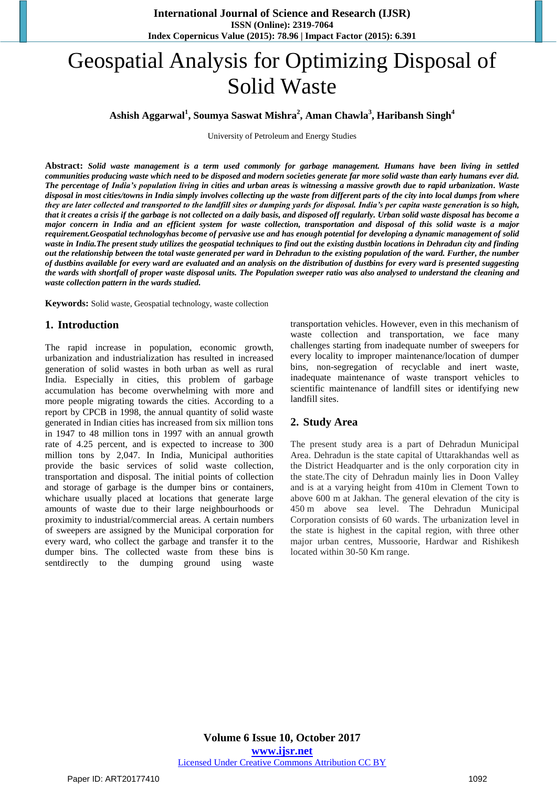# Geospatial Analysis for Optimizing Disposal of Solid Waste

### **<sup>1</sup> <sup>2</sup> <sup>3</sup> <sup>4</sup> Ashish Aggarwal , Soumya Saswat Mishra , Aman Chawla , Haribansh Singh**

University of Petroleum and Energy Studies

**Abstract:** *Solid waste management is a term used commonly for garbage management. Humans have been living in settled communities producing waste which need to be disposed and modern societies generate far more solid waste than early humans ever did. The percentage of India's population living in cities and urban areas is witnessing a massive growth due to rapid urbanization. Waste disposal in most cities/towns in India simply involves collecting up the waste from different parts of the city into local dumps from where they are later collected and transported to the landfill sites or dumping yards for disposal. India's per capita waste generation is so high, that it creates a crisis if the garbage is not collected on a daily basis, and disposed off regularly. Urban solid waste disposal has become a major concern in India and an efficient system for waste collection, transportation and disposal of this solid waste is a major requirement.Geospatial technologyhas become of pervasive use and has enough potential for developing a dynamic management of solid waste in India.The present study utilizes the geospatial techniques to find out the existing dustbin locations in Dehradun city and finding out the relationship between the total waste generated per ward in Dehradun to the existing population of the ward. Further, the number of dustbins available for every ward are evaluated and an analysis on the distribution of dustbins for every ward is presented suggesting the wards with shortfall of proper waste disposal units. The Population sweeper ratio was also analysed to understand the cleaning and waste collection pattern in the wards studied.*

**Keywords:** Solid waste, Geospatial technology, waste collection

#### **1. Introduction**

The rapid increase in population, economic growth, urbanization and industrialization has resulted in increased generation of solid wastes in both urban as well as rural India. Especially in cities, this problem of garbage accumulation has become overwhelming with more and more people migrating towards the cities. According to a report by CPCB in 1998, the annual quantity of solid waste generated in Indian cities has increased from six million tons in 1947 to 48 million tons in 1997 with an annual growth rate of 4.25 percent, and is expected to increase to 300 million tons by 2,047. In India, Municipal authorities provide the basic services of solid waste collection, transportation and disposal. The initial points of collection and storage of garbage is the dumper bins or containers, whichare usually placed at locations that generate large amounts of waste due to their large neighbourhoods or proximity to industrial/commercial areas. A certain numbers of sweepers are assigned by the Municipal corporation for every ward, who collect the garbage and transfer it to the dumper bins. The collected waste from these bins is sentdirectly to the dumping ground using waste

transportation vehicles. However, even in this mechanism of waste collection and transportation, we face many challenges starting from inadequate number of sweepers for every locality to improper maintenance/location of dumper bins, non-segregation of recyclable and inert waste, inadequate maintenance of waste transport vehicles to scientific maintenance of landfill sites or identifying new landfill sites.

#### **2. Study Area**

The present study area is a part of Dehradun Municipal Area. Dehradun is the state capital of Uttarakhandas well as the District Headquarter and is the only corporation city in the state.The city of Dehradun mainly lies in Doon Valley and is at a varying height from 410m in Clement Town to above 600 m at Jakhan. The general elevation of the city is 450 m above sea level. The Dehradun Municipal Corporation consists of 60 wards. The urbanization level in the state is highest in the capital region, with three other major urban centres, Mussoorie, Hardwar and Rishikesh located within 30-50 Km range.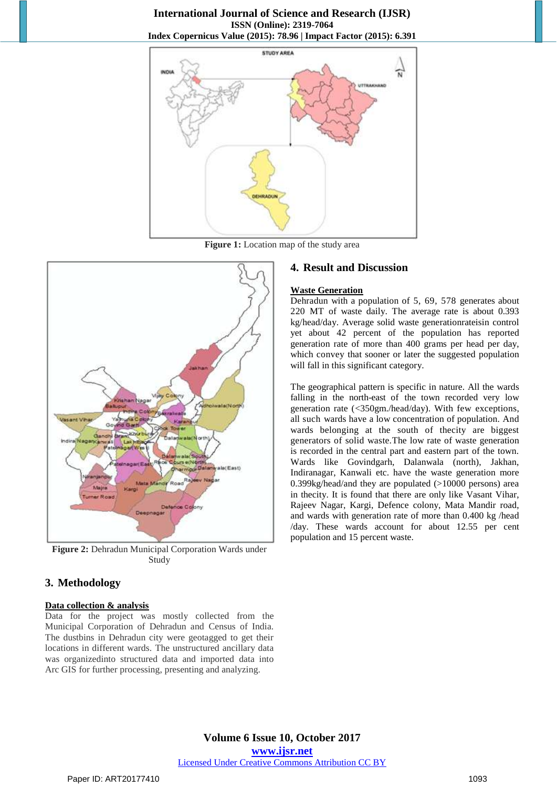#### **International Journal of Science and Research (IJSR) ISSN (Online): 2319-7064 Index Copernicus Value (2015): 78.96 | Impact Factor (2015): 6.391**



**Figure 1:** Location map of the study area



**Figure 2:** Dehradun Municipal Corporation Wards under Study

# **3. Methodology**

#### **Data collection & analysis**

Data for the project was mostly collected from the Municipal Corporation of Dehradun and Census of India. The dustbins in Dehradun city were geotagged to get their locations in different wards. The unstructured ancillary data was organizedinto structured data and imported data into Arc GIS for further processing, presenting and analyzing.

#### **4. Result and Discussion**

#### **Waste Generation**

Dehradun with a population of 5, 69, 578 generates about 220 MT of waste daily. The average rate is about 0.393 kg/head/day. Average solid waste generationrateisin control yet about 42 percent of the population has reported generation rate of more than 400 grams per head per day, which convey that sooner or later the suggested population will fall in this significant category.

The geographical pattern is specific in nature. All the wards falling in the north-east of the town recorded very low generation rate (<350gm./head/day). With few exceptions, all such wards have a low concentration of population. And wards belonging at the south of thecity are biggest generators of solid waste.The low rate of waste generation is recorded in the central part and eastern part of the town. Wards like Govindgarh, Dalanwala (north), Jakhan, Indiranagar, Kanwali etc. have the waste generation more 0.399kg/head/and they are populated (>10000 persons) area in thecity. It is found that there are only like Vasant Vihar, Rajeev Nagar, Kargi, Defence colony, Mata Mandir road, and wards with generation rate of more than 0.400 kg /head /day. These wards account for about 12.55 per cent population and 15 percent waste.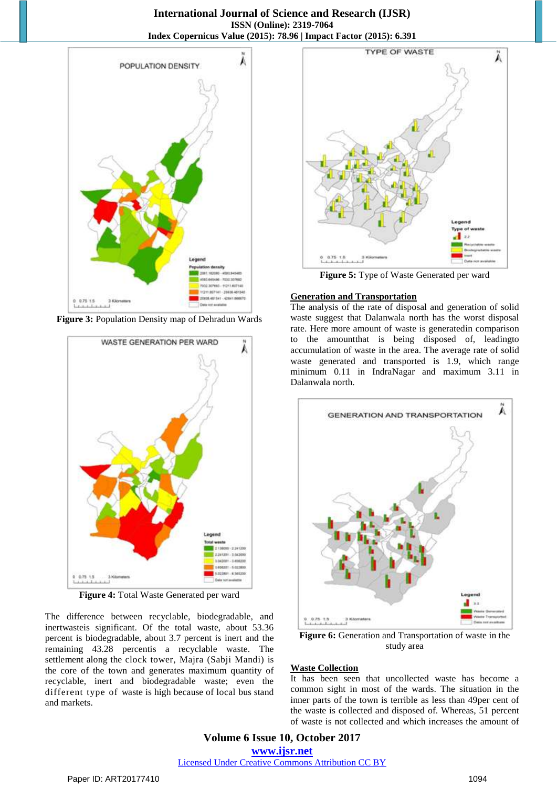#### **International Journal of Science and Research (IJSR) ISSN (Online): 2319-7064 Index Copernicus Value (2015): 78.96 | Impact Factor (2015): 6.391**



**Figure 3:** Population Density map of Dehradun Wards



**Figure 4:** Total Waste Generated per ward

The difference between recyclable, biodegradable, and inertwasteis significant. Of the total waste, about 53.36 percent is biodegradable, about 3.7 percent is inert and the remaining 43.28 percentis a recyclable waste. The settlement along the clock tower, Majra (Sabji Mandi) is the core of the town and generates maximum quantity of recyclable, inert and biodegradable waste; even the different type of waste is high because of local bus stand and markets.



**Figure 5:** Type of Waste Generated per ward

#### **Generation and Transportation**

The analysis of the rate of disposal and generation of solid waste suggest that Dalanwala north has the worst disposal rate. Here more amount of waste is generatedin comparison to the amountthat is being disposed of, leadingto accumulation of waste in the area. The average rate of solid waste generated and transported is 1.9, which range minimum 0.11 in IndraNagar and maximum 3.11 in Dalanwala north.



**Figure 6:** Generation and Transportation of waste in the study area

#### **Waste Collection**

It has been seen that uncollected waste has become a common sight in most of the wards. The situation in the inner parts of the town is terrible as less than 49per cent of the waste is collected and disposed of. Whereas, 51 percent of waste is not collected and which increases the amount of

**Volume 6 Issue 10, October 2017 <www.ijsr.net>** [Licensed Under Creative Commons Attribution CC BY](http://creativecommons.org/licenses/by/4.0/)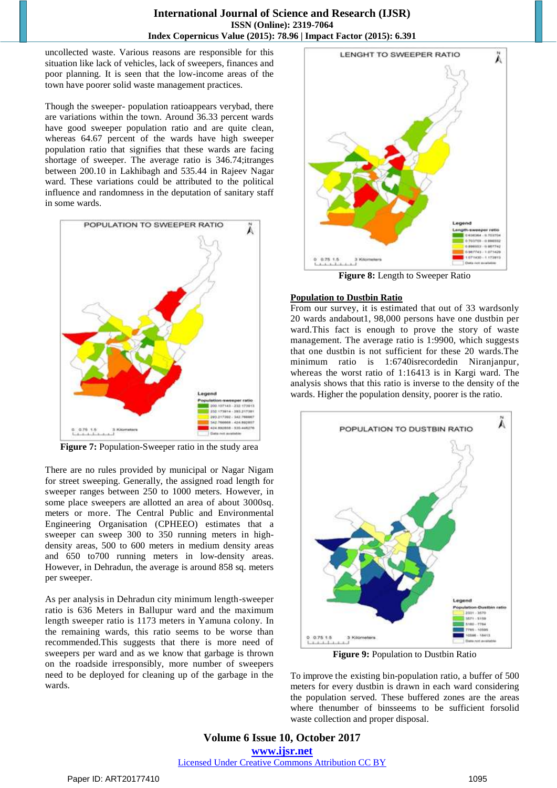uncollected waste. Various reasons are responsible for this situation like lack of vehicles, lack of sweepers, finances and poor planning. It is seen that the low-income areas of the town have poorer solid waste management practices.

Though the sweeper- population ratioappears verybad, there are variations within the town. Around 36.33 percent wards have good sweeper population ratio and are quite clean, whereas 64.67 percent of the wards have high sweeper population ratio that signifies that these wards are facing shortage of sweeper. The average ratio is 346.74;itranges between 200.10 in Lakhibagh and 535.44 in Rajeev Nagar ward. These variations could be attributed to the political influence and randomness in the deputation of sanitary staff in some wards.



**Figure 7:** Population-Sweeper ratio in the study area

There are no rules provided by municipal or Nagar Nigam for street sweeping. Generally, the assigned road length for sweeper ranges between 250 to 1000 meters. However, in some place sweepers are allotted an area of about 3000sq. meters or more. The Central Public and Environmental Engineering Organisation (CPHEEO) estimates that a sweeper can sweep 300 to 350 running meters in highdensity areas, 500 to 600 meters in medium density areas and 650 to700 running meters in low-density areas. However, in Dehradun, the average is around 858 sq. meters per sweeper.

As per analysis in Dehradun city minimum length-sweeper ratio is 636 Meters in Ballupur ward and the maximum length sweeper ratio is 1173 meters in Yamuna colony. In the remaining wards, this ratio seems to be worse than recommended.This suggests that there is more need of sweepers per ward and as we know that garbage is thrown on the roadside irresponsibly, more number of sweepers need to be deployed for cleaning up of the garbage in the wards.



**Figure 8:** Length to Sweeper Ratio

#### **Population to Dustbin Ratio**

From our survey, it is estimated that out of 33 wardsonly 20 wards andabout1, 98,000 persons have one dustbin per ward.This fact is enough to prove the story of waste management. The average ratio is 1:9900, which suggests that one dustbin is not sufficient for these 20 wards.The minimum ratio is 1:6740isrecordedin Niranjanpur, whereas the worst ratio of 1:16413 is in Kargi ward. The analysis shows that this ratio is inverse to the density of the wards. Higher the population density, poorer is the ratio.



**Figure 9:** Population to Dustbin Ratio

To improve the existing bin-population ratio, a buffer of 500 meters for every dustbin is drawn in each ward considering the population served. These buffered zones are the areas where thenumber of binsseems to be sufficient forsolid waste collection and proper disposal.